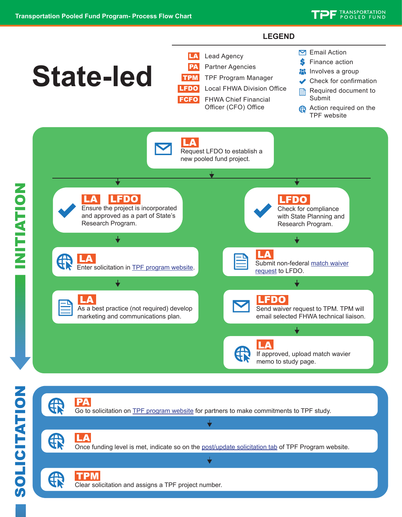## **LEGEND**